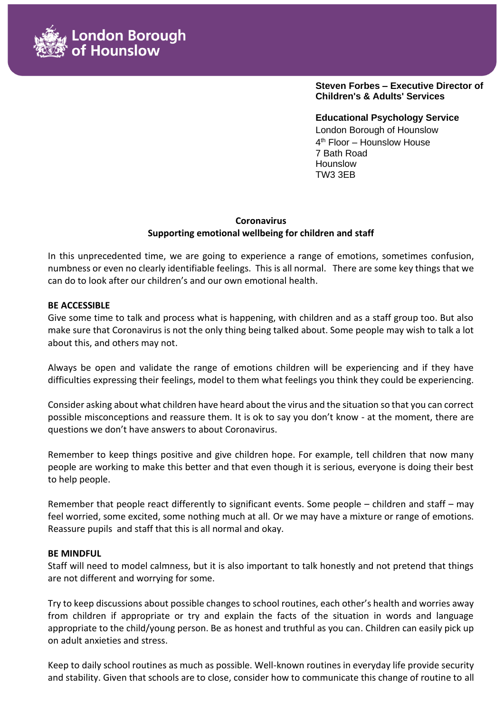

**Steven Forbes – Executive Director of Children's & Adults' Services**

**Educational Psychology Service**  London Borough of Hounslow 4 th Floor – Hounslow House 7 Bath Road Hounslow TW3 3EB

# **Coronavirus Supporting emotional wellbeing for children and staff**

In this unprecedented time, we are going to experience a range of emotions, sometimes confusion, numbness or even no clearly identifiable feelings. This is all normal. There are some key things that we can do to look after our children's and our own emotional health.

### **BE ACCESSIBLE**

Give some time to talk and process what is happening, with children and as a staff group too. But also make sure that Coronavirus is not the only thing being talked about. Some people may wish to talk a lot about this, and others may not.

Always be open and validate the range of emotions children will be experiencing and if they have difficulties expressing their feelings, model to them what feelings you think they could be experiencing.

Consider asking about what children have heard about the virus and the situation so that you can correct possible misconceptions and reassure them. It is ok to say you don't know - at the moment, there are questions we don't have answers to about Coronavirus.

Remember to keep things positive and give children hope. For example, tell children that now many people are working to make this better and that even though it is serious, everyone is doing their best to help people.

Remember that people react differently to significant events. Some people – children and staff – may feel worried, some excited, some nothing much at all. Or we may have a mixture or range of emotions. Reassure pupils and staff that this is all normal and okay.

### **BE MINDFUL**

Staff will need to model calmness, but it is also important to talk honestly and not pretend that things are not different and worrying for some.

Try to keep discussions about possible changes to school routines, each other's health and worries away from children if appropriate or try and explain the facts of the situation in words and language appropriate to the child/young person. Be as honest and truthful as you can. Children can easily pick up on adult anxieties and stress.

Keep to daily school routines as much as possible. Well-known routines in everyday life provide security and stability. Given that schools are to close, consider how to communicate this change of routine to all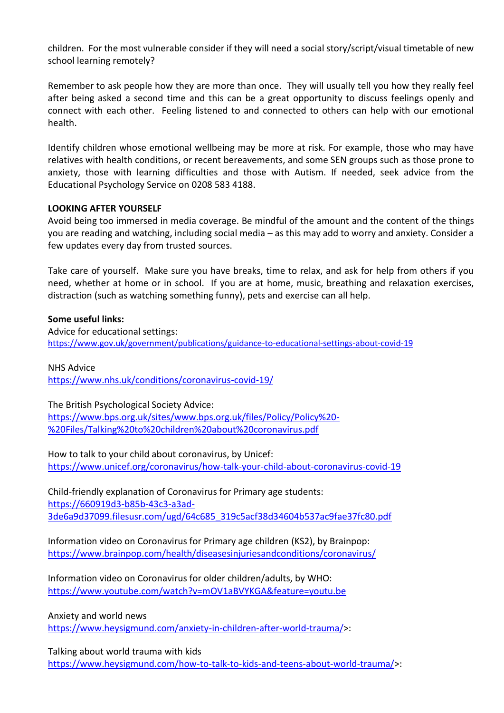children. For the most vulnerable consider if they will need a social story/script/visual timetable of new school learning remotely?

Remember to ask people how they are more than once. They will usually tell you how they really feel after being asked a second time and this can be a great opportunity to discuss feelings openly and connect with each other. Feeling listened to and connected to others can help with our emotional health.

Identify children whose emotional wellbeing may be more at risk. For example, those who may have relatives with health conditions, or recent bereavements, and some SEN groups such as those prone to anxiety, those with learning difficulties and those with Autism. If needed, seek advice from the Educational Psychology Service on 0208 583 4188.

## **LOOKING AFTER YOURSELF**

Avoid being too immersed in media coverage. Be mindful of the amount and the content of the things you are reading and watching, including social media – as this may add to worry and anxiety. Consider a few updates every day from trusted sources.

Take care of yourself. Make sure you have breaks, time to relax, and ask for help from others if you need, whether at home or in school. If you are at home, music, breathing and relaxation exercises, distraction (such as watching something funny), pets and exercise can all help.

### **Some useful links:**

Advice for educational settings: <https://www.gov.uk/government/publications/guidance-to-educational-settings-about-covid-19>

NHS Advice <https://www.nhs.uk/conditions/coronavirus-covid-19/>

The British Psychological Society Advice: [https://www.bps.org.uk/sites/www.bps.org.uk/files/Policy/Policy%20-](https://www.bps.org.uk/sites/www.bps.org.uk/files/Policy/Policy%20-%20Files/Talking%20to%20children%20about%20coronavirus.pdf) [%20Files/Talking%20to%20children%20about%20coronavirus.pdf](https://www.bps.org.uk/sites/www.bps.org.uk/files/Policy/Policy%20-%20Files/Talking%20to%20children%20about%20coronavirus.pdf)

How to talk to your child about coronavirus, by Unicef: <https://www.unicef.org/coronavirus/how-talk-your-child-about-coronavirus-covid-19>

Child-friendly explanation of Coronavirus for Primary age students: [https://660919d3-b85b-43c3-a3ad-](https://660919d3-b85b-43c3-a3ad-3de6a9d37099.filesusr.com/ugd/64c685_319c5acf38d34604b537ac9fae37fc80.pdf)[3de6a9d37099.filesusr.com/ugd/64c685\\_319c5acf38d34604b537ac9fae37fc80.pdf](https://660919d3-b85b-43c3-a3ad-3de6a9d37099.filesusr.com/ugd/64c685_319c5acf38d34604b537ac9fae37fc80.pdf)

Information video on Coronavirus for Primary age children (KS2), by Brainpop: <https://www.brainpop.com/health/diseasesinjuriesandconditions/coronavirus/>

Information video on Coronavirus for older children/adults, by WHO: <https://www.youtube.com/watch?v=mOV1aBVYKGA&feature=youtu.be>

Anxiety and world news

[https://www.heysigmund.com/anxiety-in-children-after-world-trauma/>](https://www.heysigmund.com/anxiety-in-children-after-world-trauma/):

Talking about world trauma with kids [https://www.heysigmund.com/how-to-talk-to-kids-and-teens-about-world-trauma/>](https://www.heysigmund.com/how-to-talk-to-kids-and-teens-about-world-trauma/):